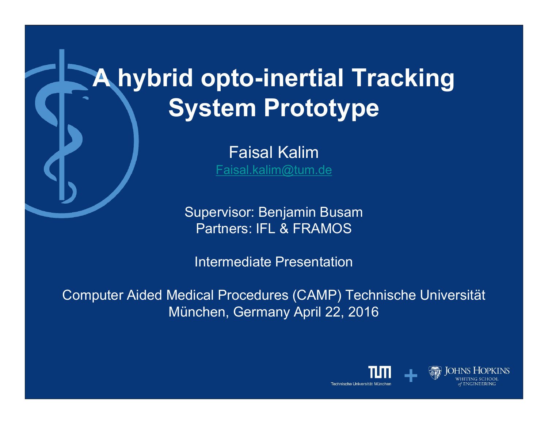# **A hybrid opto-inertial Tracking System Prototype**

Faisal Kalim Faisal.kalim@tum.de

Supervisor: Benjamin Busam Partners: IFL & FRAMOS

Intermediate Presentation

Computer Aided Medical Procedures (CAMP) Technische Universität München, Germany April 22, 2016

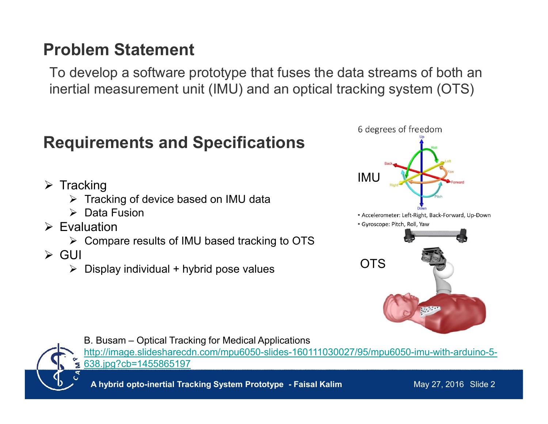## **Problem Statement**

To develop a software prototype that fuses the data streams of both an inertial measurement unit (IMU) and an optical tracking system (OTS)

## **Requirements and Specifications**

- $\triangleright$  Tracking
	- $\triangleright$  Tracking of device based on IMU data
	- $\triangleright$  Data Fusion
- $\triangleright$  Evaluation
	- $\triangleright$  Compare results of IMU based tracking to OTS
- $\triangleright$  GUI
	- $\triangleright$  Display individual + hybrid pose values





B. Busam – Optical Tracking for Medical Applications http://image.slidesharecdn.com/mpu6050-slides-160111030027/95/mpu6050-imu-with-arduino-5- 638.jpg?cb=1455865197

**A hybrid opto-inertial Tracking System Prototype - Faisal Kalim**

May 27, 2016 Slide 2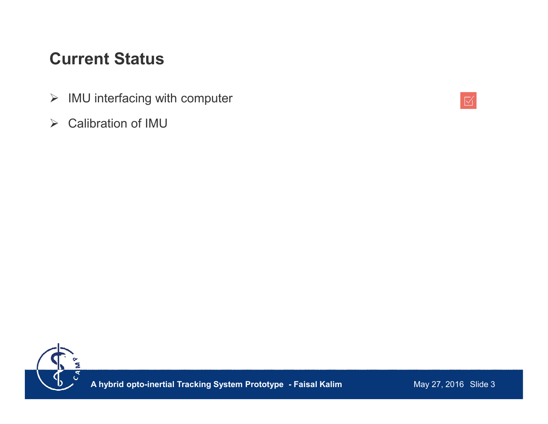## **Current Status**

- $\triangleright$  IMU interfacing with computer
- Calibration of IMU



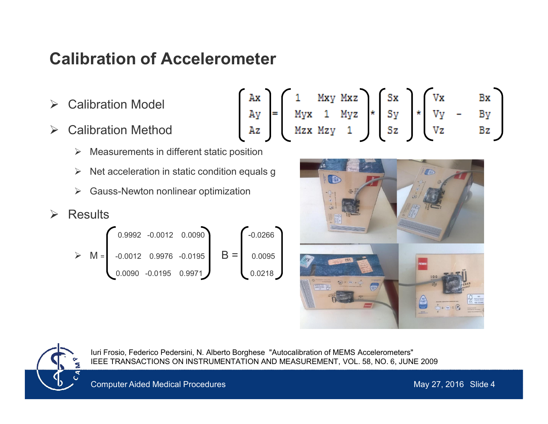## **Calibration of Accelerometer**

- **≻** Calibration Model
- **▶ Calibration Method** 
	- $\triangleright$  Measurements in different static position
	- $\triangleright$  Net acceleration in static condition equals g
	- **►** Gauss-Newton nonlinear optimization
- $\triangleright$  Results

$$
\triangleright M = \begin{pmatrix} 0.9992 & -0.0012 & 0.0090 \\ -0.0012 & 0.9976 & -0.0195 \\ 0.0090 & -0.0195 & 0.9971 \end{pmatrix} B = \begin{pmatrix} -0.0266 \\ 0.0095 \\ 0.0218 \end{pmatrix}
$$

$$
\begin{bmatrix}\nAx \\
Ay \\
Az\n\end{bmatrix} = \begin{bmatrix}\n1 & Mxy & Mxz \\
Myx & 1 & Myz \\
Mzx & Mzy & 1\n\end{bmatrix} * \begin{bmatrix}\nSx \\
Sy \\
Sz\n\end{bmatrix} * \begin{bmatrix}\nVx & Bx \\
Vy & -By \\
Vz & Bz\n\end{bmatrix}
$$





Iuri Frosio, Federico Pedersini, N. Alberto Borghese "Autocalibration of MEMS Accelerometers" IEEE TRANSACTIONS ON INSTRUMENTATION AND MEASUREMENT, VOL. 58, NO. 6, JUNE 2009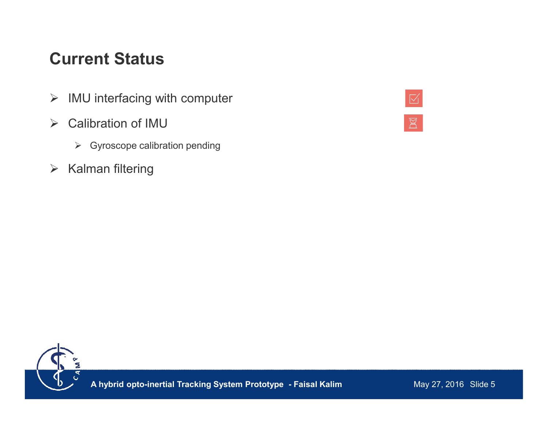## **Current Status**

- $\triangleright$  IMU interfacing with computer
- Calibration of IMU
	- $\triangleright$  Gyroscope calibration pending
- $\triangleright$  Kalman filtering



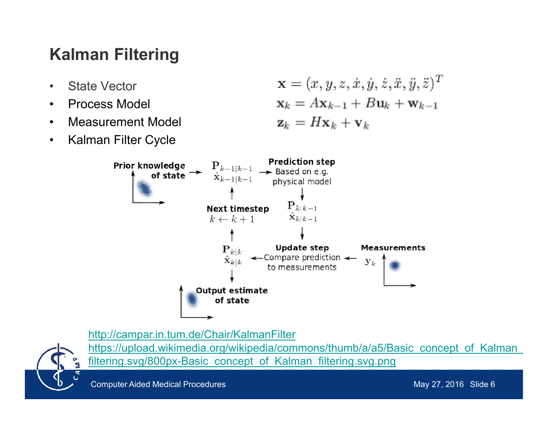# **Kalman Filtering**

- State Vector
- Process Model
- Measurement Model
- Kalman Filter Cycle

$$
\mathbf{x} = (x, y, z, \dot{x}, \dot{y}, \dot{z}, \ddot{x}, \ddot{y}, \ddot{z})^T
$$

$$
\mathbf{x}_k = A\mathbf{x}_{k-1} + B\mathbf{u}_k + \mathbf{w}_{k-1}
$$

$$
\mathbf{z}_k = H\mathbf{x}_k + \mathbf{v}_k
$$



http://campar.in.tum.de/Chair/KalmanFilter



https://upload.wikimedia.org/wikipedia/commons/thumb/a/a5/Basic\_concept\_of\_Kalman filtering.svg/800px-Basic\_concept\_of\_Kalman\_filtering.svg.png

Computer Aided Medical Procedures May 27, 2016 Slide 6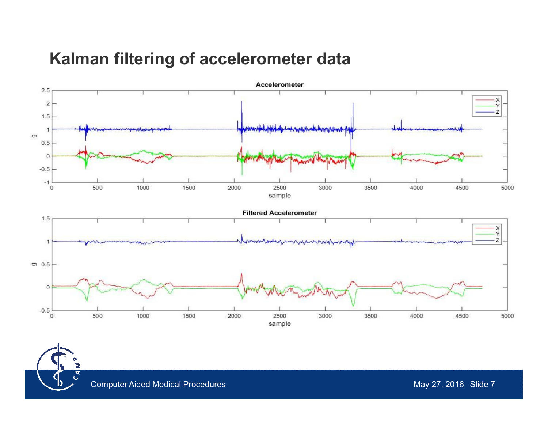#### **Kalman filtering of accelerometer data**



Ξ  $\mathbf{c}^{\mathbf{z}}$ 

Computer Aided Medical Procedures May 27, 2016 Slide 7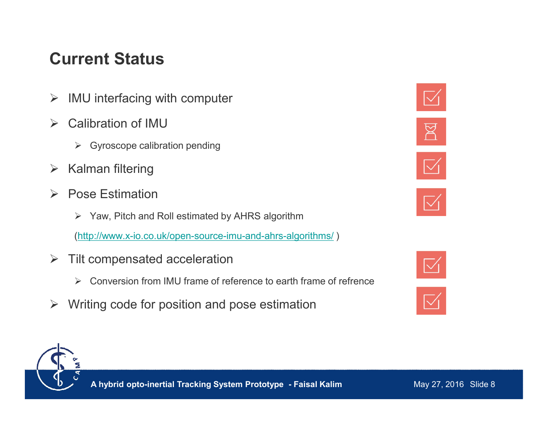# **Current Status**

- $\triangleright$  IMU interfacing with computer
- $\triangleright$  Calibration of IMU
	- $\triangleright$  Gyroscope calibration pending
- $\triangleright$  Kalman filtering
- $\triangleright$  Pose Estimation
	- $\triangleright$  Yaw, Pitch and Roll estimated by AHRS algorithm

(http://www.x-io.co.uk/open-source-imu-and-ahrs-algorithms/ )

- $\triangleright$  Tilt compensated acceleration
	- $\triangleright$  Conversion from IMU frame of reference to earth frame of refrence
- $\triangleright$  Writing code for position and pose estimation









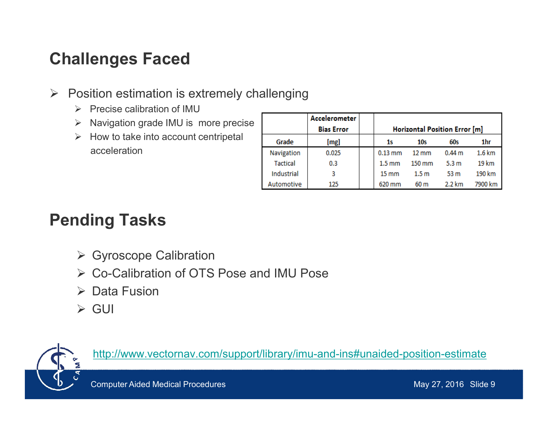# **Challenges Faced**

- $\triangleright$  Position estimation is extremely challenging
	- $\triangleright$  Precise calibration of IMU
	- $\triangleright$  Navigation grade IMU is more precise
	- $\triangleright$  How to take into account centripetal acceleration

|                 | Accelerometer<br><b>Bias Error</b> | Horizontal Position Error [m] |                  |                   |                   |
|-----------------|------------------------------------|-------------------------------|------------------|-------------------|-------------------|
| Grade           | [mg]                               | 1s                            | 10s              | 60s               | 1hr               |
| Navigation      | 0.025                              | $0.13$ mm                     | $12 \text{ mm}$  | 0.44 <sub>m</sub> | $1.6 \mathrm{km}$ |
| <b>Tactical</b> | 0.3                                | $1.5 \text{ mm}$              | $150 \text{ mm}$ | 5.3 <sub>m</sub>  | 19 km             |
| Industrial      | 3                                  | $15 \text{ mm}$               | 1.5 <sub>m</sub> | 53 <sub>m</sub>   | 190 km            |
| Automotive      | 125                                | 620 mm                        | 60 <sub>m</sub>  | 2.2 km            | 7900 km           |

# **Pending Tasks**

- **► Gyroscope Calibration**
- Co-Calibration of OTS Pose and IMU Pose
- $\triangleright$  Data Fusion
- $\triangleright$  GUI



http://www.vectornav.com/support/library/imu-and-ins#unaided-position-estimate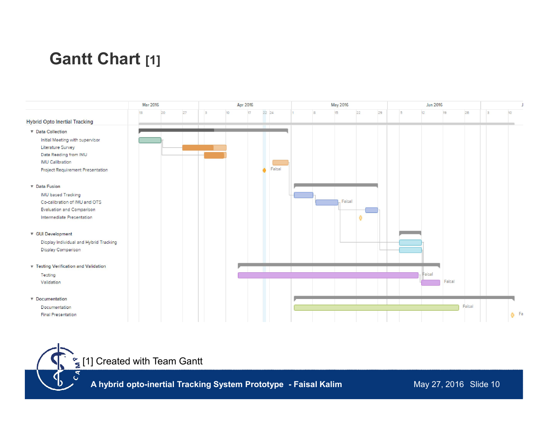# **Gantt Chart [1]**





 $\mathcal{C}^{\mathbf{z}}$ 

**A hybrid opto-inertial Tracking System Prototype - Faisal Kalim**